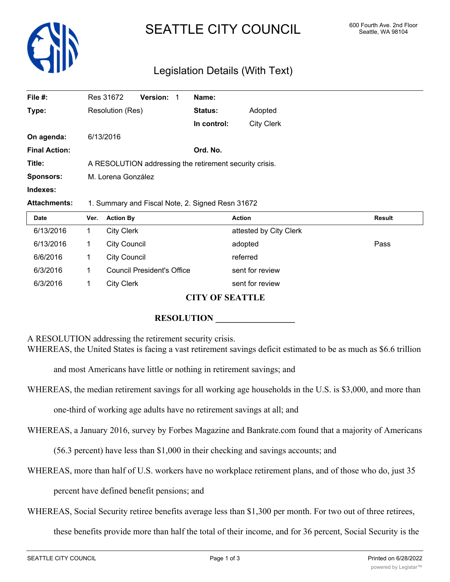

# SEATTLE CITY COUNCIL 600 Fourth Ave. 2nd Floor

# Legislation Details (With Text)

| File #:              |                                                         | Res 31672           | Version:                   | Name:          |                        |        |  |  |
|----------------------|---------------------------------------------------------|---------------------|----------------------------|----------------|------------------------|--------|--|--|
| Type:                |                                                         | Resolution (Res)    |                            | <b>Status:</b> | Adopted                |        |  |  |
|                      |                                                         |                     |                            | In control:    | <b>City Clerk</b>      |        |  |  |
| On agenda:           |                                                         | 6/13/2016           |                            |                |                        |        |  |  |
| <b>Final Action:</b> |                                                         |                     |                            | Ord. No.       |                        |        |  |  |
| Title:               | A RESOLUTION addressing the retirement security crisis. |                     |                            |                |                        |        |  |  |
| <b>Sponsors:</b>     | M. Lorena González                                      |                     |                            |                |                        |        |  |  |
| Indexes:             |                                                         |                     |                            |                |                        |        |  |  |
| <b>Attachments:</b>  | 1. Summary and Fiscal Note, 2. Signed Resn 31672        |                     |                            |                |                        |        |  |  |
| Date                 | Ver.                                                    | <b>Action By</b>    |                            |                | <b>Action</b>          | Result |  |  |
| 6/13/2016            | 1                                                       | <b>City Clerk</b>   |                            |                | attested by City Clerk |        |  |  |
| 6/13/2016            | 1                                                       | <b>City Council</b> |                            |                | adopted                | Pass   |  |  |
| 6/6/2016             | 1                                                       | <b>City Council</b> |                            |                | referred               |        |  |  |
| 6/3/2016             |                                                         |                     | Council President's Office |                | sent for review        |        |  |  |

#### **CITY OF SEATTLE**

## **RESOLUTION**

A RESOLUTION addressing the retirement security crisis.

WHEREAS, the United States is facing a vast retirement savings deficit estimated to be as much as \$6.6 trillion

and most Americans have little or nothing in retirement savings; and

6/3/2016 1 City Clerk sent for review

WHEREAS, the median retirement savings for all working age households in the U.S. is \$3,000, and more than

one-third of working age adults have no retirement savings at all; and

WHEREAS, a January 2016, survey by Forbes Magazine and Bankrate.com found that a majority of Americans

(56.3 percent) have less than \$1,000 in their checking and savings accounts; and

WHEREAS, more than half of U.S. workers have no workplace retirement plans, and of those who do, just 35

percent have defined benefit pensions; and

WHEREAS, Social Security retiree benefits average less than \$1,300 per month. For two out of three retirees,

these benefits provide more than half the total of their income, and for 36 percent, Social Security is the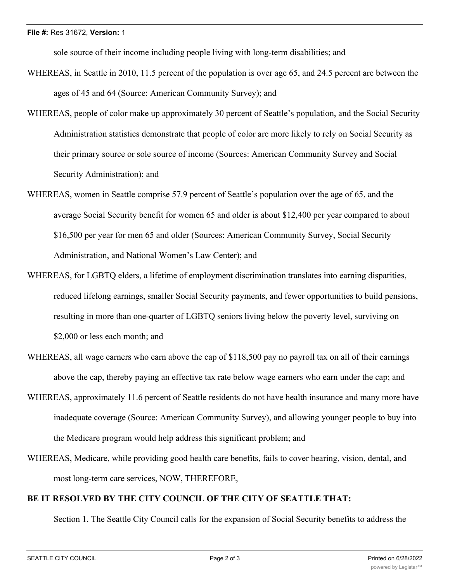sole source of their income including people living with long-term disabilities; and

- WHEREAS, in Seattle in 2010, 11.5 percent of the population is over age 65, and 24.5 percent are between the ages of 45 and 64 (Source: American Community Survey); and
- WHEREAS, people of color make up approximately 30 percent of Seattle's population, and the Social Security Administration statistics demonstrate that people of color are more likely to rely on Social Security as their primary source or sole source of income (Sources: American Community Survey and Social Security Administration); and
- WHEREAS, women in Seattle comprise 57.9 percent of Seattle's population over the age of 65, and the average Social Security benefit for women 65 and older is about \$12,400 per year compared to about \$16,500 per year for men 65 and older (Sources: American Community Survey, Social Security Administration, and National Women's Law Center); and
- WHEREAS, for LGBTQ elders, a lifetime of employment discrimination translates into earning disparities, reduced lifelong earnings, smaller Social Security payments, and fewer opportunities to build pensions, resulting in more than one-quarter of LGBTQ seniors living below the poverty level, surviving on \$2,000 or less each month; and
- WHEREAS, all wage earners who earn above the cap of \$118,500 pay no payroll tax on all of their earnings above the cap, thereby paying an effective tax rate below wage earners who earn under the cap; and
- WHEREAS, approximately 11.6 percent of Seattle residents do not have health insurance and many more have inadequate coverage (Source: American Community Survey), and allowing younger people to buy into the Medicare program would help address this significant problem; and
- WHEREAS, Medicare, while providing good health care benefits, fails to cover hearing, vision, dental, and most long-term care services, NOW, THEREFORE,

### **BE IT RESOLVED BY THE CITY COUNCIL OF THE CITY OF SEATTLE THAT:**

Section 1. The Seattle City Council calls for the expansion of Social Security benefits to address the